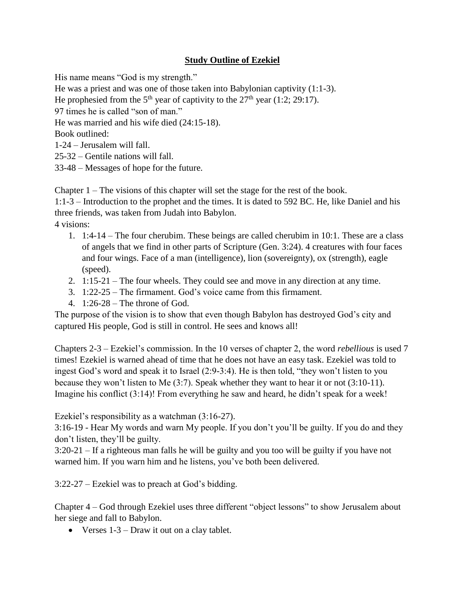## **Study Outline of Ezekiel**

His name means "God is my strength."

He was a priest and was one of those taken into Babylonian captivity (1:1-3).

He prophesied from the  $5<sup>th</sup>$  year of captivity to the  $27<sup>th</sup>$  year (1:2; 29:17).

97 times he is called "son of man."

He was married and his wife died (24:15-18).

Book outlined:

1-24 – Jerusalem will fall.

25-32 – Gentile nations will fall.

33-48 – Messages of hope for the future.

Chapter 1 – The visions of this chapter will set the stage for the rest of the book.

1:1-3 – Introduction to the prophet and the times. It is dated to 592 BC. He, like Daniel and his three friends, was taken from Judah into Babylon.

4 visions:

- 1. 1:4-14 The four cherubim. These beings are called cherubim in 10:1. These are a class of angels that we find in other parts of Scripture (Gen. 3:24). 4 creatures with four faces and four wings. Face of a man (intelligence), lion (sovereignty), ox (strength), eagle (speed).
- 2. 1:15-21 The four wheels. They could see and move in any direction at any time.
- 3. 1:22-25 The firmament. God's voice came from this firmament.
- 4. 1:26-28 The throne of God.

The purpose of the vision is to show that even though Babylon has destroyed God's city and captured His people, God is still in control. He sees and knows all!

Chapters 2-3 – Ezekiel's commission. In the 10 verses of chapter 2, the word *rebellious* is used 7 times! Ezekiel is warned ahead of time that he does not have an easy task. Ezekiel was told to ingest God's word and speak it to Israel (2:9-3:4). He is then told, "they won't listen to you because they won't listen to Me (3:7). Speak whether they want to hear it or not (3:10-11). Imagine his conflict (3:14)! From everything he saw and heard, he didn't speak for a week!

Ezekiel's responsibility as a watchman  $(3:16-27)$ .

3:16-19 - Hear My words and warn My people. If you don't you'll be guilty. If you do and they don't listen, they'll be guilty.

3:20-21 – If a righteous man falls he will be guilty and you too will be guilty if you have not warned him. If you warn him and he listens, you've both been delivered.

3:22-27 – Ezekiel was to preach at God's bidding.

Chapter 4 – God through Ezekiel uses three different "object lessons" to show Jerusalem about her siege and fall to Babylon.

• Verses  $1-3$  – Draw it out on a clay tablet.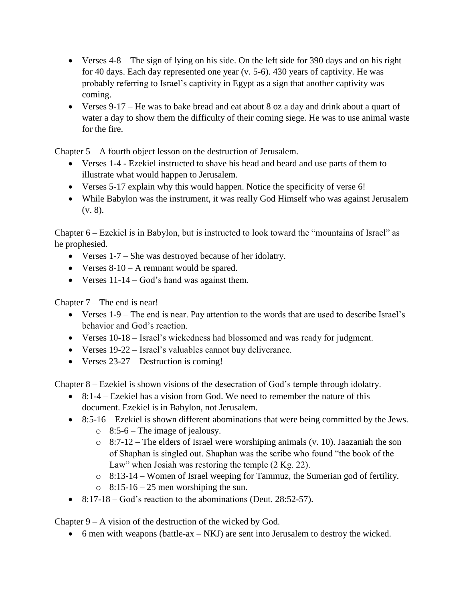- Verses 4-8 The sign of lying on his side. On the left side for 390 days and on his right for 40 days. Each day represented one year (v. 5-6). 430 years of captivity. He was probably referring to Israel's captivity in Egypt as a sign that another captivity was coming.
- Verses 9-17 He was to bake bread and eat about 8 oz a day and drink about a quart of water a day to show them the difficulty of their coming siege. He was to use animal waste for the fire.

Chapter 5 – A fourth object lesson on the destruction of Jerusalem.

- Verses 1-4 Ezekiel instructed to shave his head and beard and use parts of them to illustrate what would happen to Jerusalem.
- Verses 5-17 explain why this would happen. Notice the specificity of verse 6!
- While Babylon was the instrument, it was really God Himself who was against Jerusalem  $(v, 8)$ .

Chapter 6 – Ezekiel is in Babylon, but is instructed to look toward the "mountains of Israel" as he prophesied.

- Verses 1-7 She was destroyed because of her idolatry.
- Verses 8-10 A remnant would be spared.
- Verses  $11-14 God's$  hand was against them.

Chapter 7 – The end is near!

- Verses 1-9 The end is near. Pay attention to the words that are used to describe Israel's behavior and God's reaction.
- Verses 10-18 Israel's wickedness had blossomed and was ready for judgment.
- Verses 19-22 Israel's valuables cannot buy deliverance.
- Verses 23-27 Destruction is coming!

Chapter 8 – Ezekiel is shown visions of the desecration of God's temple through idolatry.

- $\bullet$  8:1-4 Ezekiel has a vision from God. We need to remember the nature of this document. Ezekiel is in Babylon, not Jerusalem.
- 8:5-16 Ezekiel is shown different abominations that were being committed by the Jews.
	- $\circ$  8:5-6 The image of jealousy.
	- $\circ$  8:7-12 The elders of Israel were worshiping animals (v. 10). Jaazaniah the son of Shaphan is singled out. Shaphan was the scribe who found "the book of the Law" when Josiah was restoring the temple  $(2 \text{ Kg. } 22)$ .
	- o 8:13-14 Women of Israel weeping for Tammuz, the Sumerian god of fertility.
	- $\circ$  8:15-16 25 men worshiping the sun.
- $\bullet$  8:17-18 God's reaction to the abominations (Deut. 28:52-57).

Chapter  $9 - A$  vision of the destruction of the wicked by God.

6 men with weapons (battle-ax – NKJ) are sent into Jerusalem to destroy the wicked.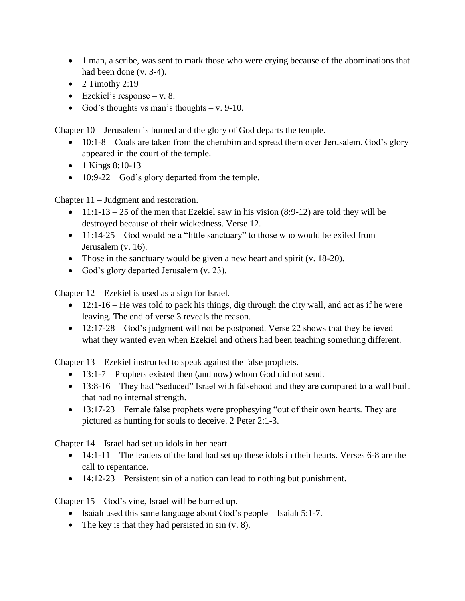- 1 man, a scribe, was sent to mark those who were crying because of the abominations that had been done (v. 3-4).
- $\bullet$  2 Timothy 2:19
- Ezekiel's response v. 8.
- God's thoughts vs man's thoughts v.  $9-10$ .

Chapter 10 – Jerusalem is burned and the glory of God departs the temple.

- $\bullet$  10:1-8 Coals are taken from the cherubim and spread them over Jerusalem. God's glory appeared in the court of the temple.
- 1 Kings  $8:10-13$
- $\bullet$  10:9-22 God's glory departed from the temple.

Chapter 11 – Judgment and restoration.

- $\bullet$  11:1-13 25 of the men that Ezekiel saw in his vision (8:9-12) are told they will be destroyed because of their wickedness. Verse 12.
- 11:14-25 God would be a "little sanctuary" to those who would be exiled from Jerusalem (v. 16).
- Those in the sanctuary would be given a new heart and spirit (v. 18-20).
- God's glory departed Jerusalem (v. 23).

Chapter 12 – Ezekiel is used as a sign for Israel.

- $\bullet$  12:1-16 He was told to pack his things, dig through the city wall, and act as if he were leaving. The end of verse 3 reveals the reason.
- 12:17-28 God's judgment will not be postponed. Verse 22 shows that they believed what they wanted even when Ezekiel and others had been teaching something different.

Chapter 13 – Ezekiel instructed to speak against the false prophets.

- 13:1-7 Prophets existed then (and now) whom God did not send.
- 13:8-16 They had "seduced" Israel with falsehood and they are compared to a wall built that had no internal strength.
- $\bullet$  13:17-23 Female false prophets were prophesying "out of their own hearts. They are pictured as hunting for souls to deceive. 2 Peter 2:1-3.

Chapter 14 – Israel had set up idols in her heart.

- $\bullet$  14:1-11 The leaders of the land had set up these idols in their hearts. Verses 6-8 are the call to repentance.
- 14:12-23 Persistent sin of a nation can lead to nothing but punishment.

Chapter 15 – God's vine, Israel will be burned up.

- Isaiah used this same language about God's people  $-$  Isaiah 5:1-7.
- The key is that they had persisted in sin (v. 8).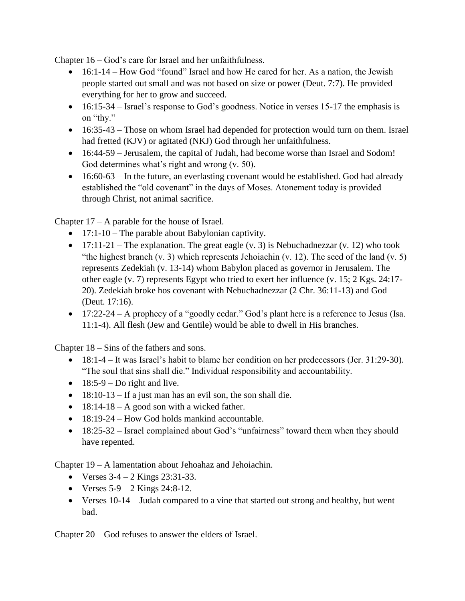Chapter 16 – God's care for Israel and her unfaithfulness.

- 16:1-14 How God "found" Israel and how He cared for her. As a nation, the Jewish people started out small and was not based on size or power (Deut. 7:7). He provided everything for her to grow and succeed.
- 16:15-34 Israel's response to God's goodness. Notice in verses 15-17 the emphasis is on "thy."
- 16:35-43 Those on whom Israel had depended for protection would turn on them. Israel had fretted (KJV) or agitated (NKJ) God through her unfaithfulness.
- 16:44-59 Jerusalem, the capital of Judah, had become worse than Israel and Sodom! God determines what's right and wrong (v. 50).
- $\bullet$  16:60-63 In the future, an everlasting covenant would be established. God had already established the "old covenant" in the days of Moses. Atonement today is provided through Christ, not animal sacrifice.

Chapter 17 – A parable for the house of Israel.

- $\bullet$  17:1-10 The parable about Babylonian captivity.
- 17:11-21 The explanation. The great eagle  $(v, 3)$  is Nebuchadnezzar  $(v, 12)$  who took "the highest branch (v. 3) which represents Jehoiachin (v. 12). The seed of the land (v. 5) represents Zedekiah (v. 13-14) whom Babylon placed as governor in Jerusalem. The other eagle (v. 7) represents Egypt who tried to exert her influence (v. 15; 2 Kgs. 24:17- 20). Zedekiah broke hos covenant with Nebuchadnezzar (2 Chr. 36:11-13) and God (Deut. 17:16).
- 17:22-24 A prophecy of a "goodly cedar." God's plant here is a reference to Jesus (Isa. 11:1-4). All flesh (Jew and Gentile) would be able to dwell in His branches.

Chapter 18 – Sins of the fathers and sons.

- 18:1-4 It was Israel's habit to blame her condition on her predecessors (Jer. 31:29-30). "The soul that sins shall die." Individual responsibility and accountability.
- $\bullet$  18:5-9 Do right and live.
- $\bullet$  18:10-13 If a just man has an evil son, the son shall die.
- $\bullet$  18:14-18 A good son with a wicked father.
- $\bullet$  18:19-24 How God holds mankind accountable.
- 18:25-32 Israel complained about God's "unfairness" toward them when they should have repented.

Chapter 19 – A lamentation about Jehoahaz and Jehoiachin.

- Verses  $3-4-2$  Kings  $23:31-33$ .
- Verses  $5-9 2$  Kings  $24:8-12$ .
- Verses 10-14 Judah compared to a vine that started out strong and healthy, but went bad.

Chapter 20 – God refuses to answer the elders of Israel.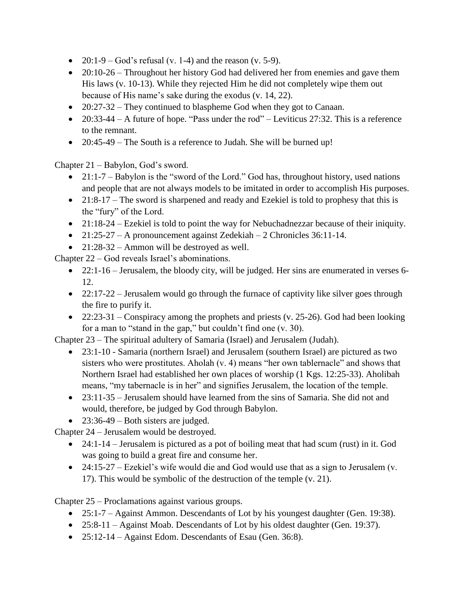- 20:1-9 God's refusal (v. 1-4) and the reason (v. 5-9).
- 20:10-26 Throughout her history God had delivered her from enemies and gave them His laws (v. 10-13). While they rejected Him he did not completely wipe them out because of His name's sake during the exodus (v. 14, 22).
- 20:27-32 They continued to blaspheme God when they got to Canaan.
- 20:33-44 A future of hope. "Pass under the rod" Leviticus 27:32. This is a reference to the remnant.
- 20:45-49 The South is a reference to Judah. She will be burned up!

Chapter 21 – Babylon, God's sword.

- $\bullet$  21:1-7 Babylon is the "sword of the Lord." God has, throughout history, used nations and people that are not always models to be imitated in order to accomplish His purposes.
- $\bullet$  21:8-17 The sword is sharpened and ready and Ezekiel is told to prophesy that this is the "fury" of the Lord.
- 21:18-24 Ezekiel is told to point the way for Nebuchadnezzar because of their iniquity.
- $21:25-27 A$  pronouncement against Zedekiah 2 Chronicles 36:11-14.
- 21:28-32 Ammon will be destroyed as well.

Chapter 22 – God reveals Israel's abominations.

- 22:1-16 Jerusalem, the bloody city, will be judged. Her sins are enumerated in verses 6- 12.
- $\bullet$  22:17-22 Jerusalem would go through the furnace of captivity like silver goes through the fire to purify it.
- 22:23-31 Conspiracy among the prophets and priests (v. 25-26). God had been looking for a man to "stand in the gap," but couldn't find one (v. 30).

Chapter 23 – The spiritual adultery of Samaria (Israel) and Jerusalem (Judah).

- 23:1-10 Samaria (northern Israel) and Jerusalem (southern Israel) are pictured as two sisters who were prostitutes. Aholah (v. 4) means "her own tablernacle" and shows that Northern Israel had established her own places of worship (1 Kgs. 12:25-33). Aholibah means, "my tabernacle is in her" and signifies Jerusalem, the location of the temple.
- 23:11-35 Jerusalem should have learned from the sins of Samaria. She did not and would, therefore, be judged by God through Babylon.
- 23:36-49 Both sisters are judged.

Chapter 24 – Jerusalem would be destroyed.

- $\bullet$  24:1-14 Jerusalem is pictured as a pot of boiling meat that had scum (rust) in it. God was going to build a great fire and consume her.
- 24:15-27 Ezekiel's wife would die and God would use that as a sign to Jerusalem (v. 17). This would be symbolic of the destruction of the temple (v. 21).

Chapter 25 – Proclamations against various groups.

- 25:1-7 Against Ammon. Descendants of Lot by his youngest daughter (Gen. 19:38).
- 25:8-11 Against Moab. Descendants of Lot by his oldest daughter (Gen. 19:37).
- 25:12-14 Against Edom. Descendants of Esau (Gen. 36:8).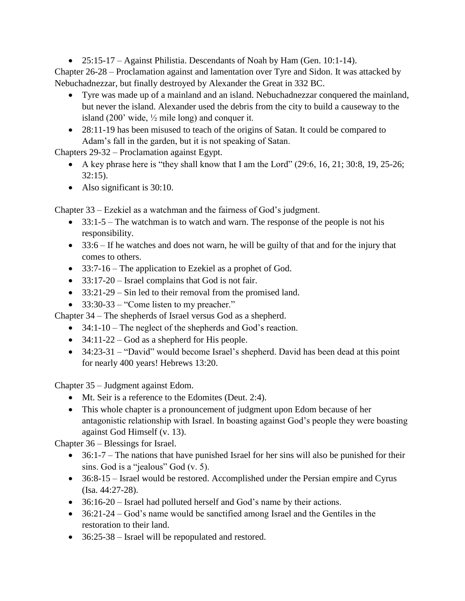• 25:15-17 – Against Philistia. Descendants of Noah by Ham (Gen. 10:1-14).

Chapter 26-28 – Proclamation against and lamentation over Tyre and Sidon. It was attacked by Nebuchadnezzar, but finally destroyed by Alexander the Great in 332 BC.

- Tyre was made up of a mainland and an island. Nebuchadnezzar conquered the mainland, but never the island. Alexander used the debris from the city to build a causeway to the island  $(200'$  wide,  $\frac{1}{2}$  mile long) and conquer it.
- 28:11-19 has been misused to teach of the origins of Satan. It could be compared to Adam's fall in the garden, but it is not speaking of Satan.

Chapters 29-32 – Proclamation against Egypt.

- A key phrase here is "they shall know that I am the Lord"  $(29:6, 16, 21; 30:8, 19, 25-26;$ 32:15).
- Also significant is 30:10.

Chapter 33 – Ezekiel as a watchman and the fairness of God's judgment.

- $\bullet$  33:1-5 The watchman is to watch and warn. The response of the people is not his responsibility.
- 33:6 If he watches and does not warn, he will be guilty of that and for the injury that comes to others.
- 33:7-16 The application to Ezekiel as a prophet of God.
- 33:17-20 Israel complains that God is not fair.
- 33:21-29 Sin led to their removal from the promised land.
- 33:30-33 "Come listen to my preacher."

Chapter 34 – The shepherds of Israel versus God as a shepherd.

- 34:1-10 The neglect of the shepherds and God's reaction.
- $\bullet$  34:11-22 God as a shepherd for His people.
- 34:23-31 "David" would become Israel's shepherd. David has been dead at this point for nearly 400 years! Hebrews 13:20.

Chapter 35 – Judgment against Edom.

- Mt. Seir is a reference to the Edomites (Deut. 2:4).
- This whole chapter is a pronouncement of judgment upon Edom because of her antagonistic relationship with Israel. In boasting against God's people they were boasting against God Himself (v. 13).

Chapter 36 – Blessings for Israel.

- $\bullet$  36:1-7 The nations that have punished Israel for her sins will also be punished for their sins. God is a "jealous" God (v. 5).
- 36:8-15 Israel would be restored. Accomplished under the Persian empire and Cyrus (Isa. 44:27-28).
- 36:16-20 Israel had polluted herself and God's name by their actions.
- 36:21-24 God's name would be sanctified among Israel and the Gentiles in the restoration to their land.
- 36:25-38 Israel will be repopulated and restored.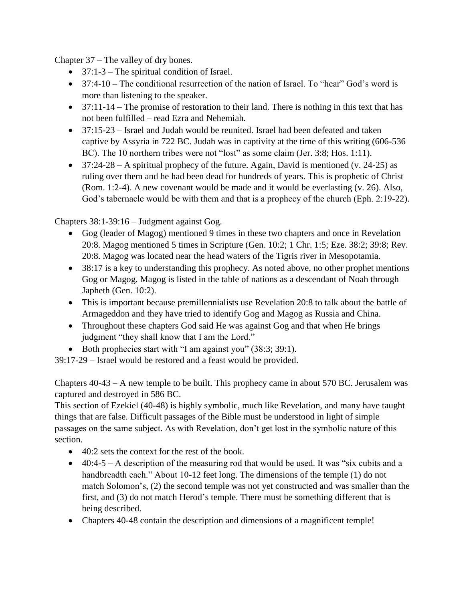Chapter 37 – The valley of dry bones.

- 37:1-3 The spiritual condition of Israel.
- 37:4-10 The conditional resurrection of the nation of Israel. To "hear" God's word is more than listening to the speaker.
- $\bullet$  37:11-14 The promise of restoration to their land. There is nothing in this text that has not been fulfilled – read Ezra and Nehemiah.
- 37:15-23 Israel and Judah would be reunited. Israel had been defeated and taken captive by Assyria in 722 BC. Judah was in captivity at the time of this writing (606-536 BC). The 10 northern tribes were not "lost" as some claim (Jer. 3:8; Hos. 1:11).
- $\bullet$  37:24-28 A spiritual prophecy of the future. Again, David is mentioned (v. 24-25) as ruling over them and he had been dead for hundreds of years. This is prophetic of Christ (Rom. 1:2-4). A new covenant would be made and it would be everlasting (v. 26). Also, God's tabernacle would be with them and that is a prophecy of the church (Eph. 2:19-22).

Chapters 38:1-39:16 – Judgment against Gog.

- Gog (leader of Magog) mentioned 9 times in these two chapters and once in Revelation 20:8. Magog mentioned 5 times in Scripture (Gen. 10:2; 1 Chr. 1:5; Eze. 38:2; 39:8; Rev. 20:8. Magog was located near the head waters of the Tigris river in Mesopotamia.
- 38:17 is a key to understanding this prophecy. As noted above, no other prophet mentions Gog or Magog. Magog is listed in the table of nations as a descendant of Noah through Japheth (Gen. 10:2).
- This is important because premillennialists use Revelation 20:8 to talk about the battle of Armageddon and they have tried to identify Gog and Magog as Russia and China.
- Throughout these chapters God said He was against Gog and that when He brings judgment "they shall know that I am the Lord."
- $\bullet$  Both prophecies start with "I am against you" (38:3; 39:1).

39:17-29 – Israel would be restored and a feast would be provided.

Chapters 40-43 – A new temple to be built. This prophecy came in about 570 BC. Jerusalem was captured and destroyed in 586 BC.

This section of Ezekiel (40-48) is highly symbolic, much like Revelation, and many have taught things that are false. Difficult passages of the Bible must be understood in light of simple passages on the same subject. As with Revelation, don't get lost in the symbolic nature of this section.

- $\bullet$  40:2 sets the context for the rest of the book.
- $\bullet$  40:4-5 A description of the measuring rod that would be used. It was "six cubits and a handbreadth each." About 10-12 feet long. The dimensions of the temple (1) do not match Solomon's, (2) the second temple was not yet constructed and was smaller than the first, and (3) do not match Herod's temple. There must be something different that is being described.
- Chapters 40-48 contain the description and dimensions of a magnificent temple!